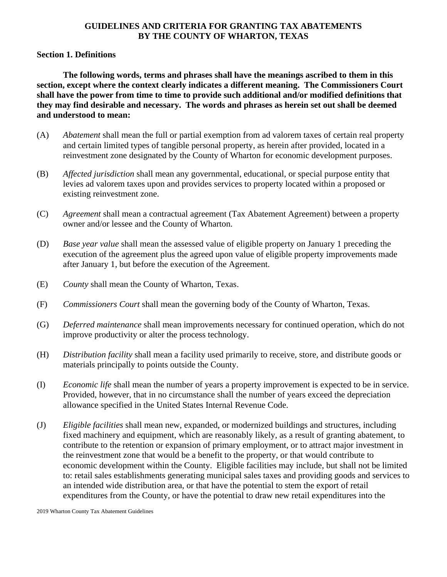### **GUIDELINES AND CRITERIA FOR GRANTING TAX ABATEMENTS BY THE COUNTY OF WHARTON, TEXAS**

#### **Section 1. Definitions**

**The following words, terms and phrases shall have the meanings ascribed to them in this section, except where the context clearly indicates a different meaning. The Commissioners Court shall have the power from time to time to provide such additional and/or modified definitions that they may find desirable and necessary. The words and phrases as herein set out shall be deemed and understood to mean:**

- (A) *Abatement* shall mean the full or partial exemption from ad valorem taxes of certain real property and certain limited types of tangible personal property, as herein after provided, located in a reinvestment zone designated by the County of Wharton for economic development purposes.
- (B) *Affected jurisdiction* shall mean any governmental, educational, or special purpose entity that levies ad valorem taxes upon and provides services to property located within a proposed or existing reinvestment zone.
- (C) *Agreement* shall mean a contractual agreement (Tax Abatement Agreement) between a property owner and/or lessee and the County of Wharton.
- (D) *Base year value* shall mean the assessed value of eligible property on January 1 preceding the execution of the agreement plus the agreed upon value of eligible property improvements made after January 1, but before the execution of the Agreement.
- (E) *County* shall mean the County of Wharton, Texas.
- (F) *Commissioners Court* shall mean the governing body of the County of Wharton, Texas.
- (G) *Deferred maintenance* shall mean improvements necessary for continued operation, which do not improve productivity or alter the process technology.
- (H) *Distribution facility* shall mean a facility used primarily to receive, store, and distribute goods or materials principally to points outside the County.
- (I) *Economic life* shall mean the number of years a property improvement is expected to be in service. Provided, however, that in no circumstance shall the number of years exceed the depreciation allowance specified in the United States Internal Revenue Code.
- (J) *Eligible facilities* shall mean new, expanded, or modernized buildings and structures, including fixed machinery and equipment, which are reasonably likely, as a result of granting abatement, to contribute to the retention or expansion of primary employment, or to attract major investment in the reinvestment zone that would be a benefit to the property, or that would contribute to economic development within the County. Eligible facilities may include, but shall not be limited to: retail sales establishments generating municipal sales taxes and providing goods and services to an intended wide distribution area, or that have the potential to stem the export of retail expenditures from the County, or have the potential to draw new retail expenditures into the

<sup>2019</sup> Wharton County Tax Abatement Guidelines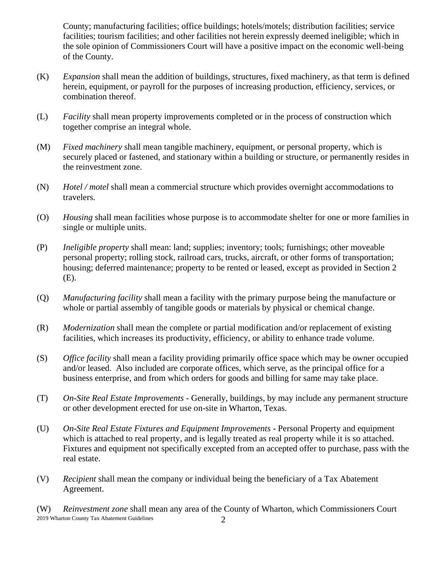County; manufacturing facilities; office buildings; hotels/motels; distribution facilities; service facilities; tourism facilities; and other facilities not herein expressly deemed ineligible; which in the sole opinion of Commissioners Court will have a positive impact on the economic well-being of the County.

- (K) *Expansion* shall mean the addition of buildings, structures, fixed machinery, as that term is defined herein, equipment, or payroll for the purposes of increasing production, efficiency, services, or combination thereof.
- (L) *Facility* shall mean property improvements completed or in the process of construction which together comprise an integral whole.
- (M) *Fixed machinery* shall mean tangible machinery, equipment, or personal property, which is securely placed or fastened, and stationary within a building or structure, or permanently resides in the reinvestment zone.
- (N) *Hotel / motel* shall mean a commercial structure which provides overnight accommodations to travelers.
- (O) *Housing* shall mean facilities whose purpose is to accommodate shelter for one or more families in single or multiple units.
- (P) *Ineligible property* shall mean: land; supplies; inventory; tools; furnishings; other moveable personal property; rolling stock, railroad cars, trucks, aircraft, or other forms of transportation; housing; deferred maintenance; property to be rented or leased, except as provided in Section 2 (E).
- (Q) *Manufacturing facility* shall mean a facility with the primary purpose being the manufacture or whole or partial assembly of tangible goods or materials by physical or chemical change.
- (R) *Modernization* shall mean the complete or partial modification and/or replacement of existing facilities, which increases its productivity, efficiency, or ability to enhance trade volume.
- (S) *Office facility* shall mean a facility providing primarily office space which may be owner occupied and/or leased. Also included are corporate offices, which serve, as the principal office for a business enterprise, and from which orders for goods and billing for same may take place.
- (T) *On-Site Real Estate Improvements -* Generally, buildings, by may include any permanent structure or other development erected for use on-site in Wharton, Texas.
- (U) *On-Site Real Estate Fixtures and Equipment Improvements -* Personal Property and equipment which is attached to real property, and is legally treated as real property while it is so attached. Fixtures and equipment not specifically excepted from an accepted offer to purchase, pass with the real estate.
- (V) *Recipient* shall mean the company or individual being the beneficiary of a Tax Abatement Agreement.

2 2019 Wharton County Tax Abatement Guidelines (W) *Reinvestment zone* shall mean any area of the County of Wharton, which Commissioners Court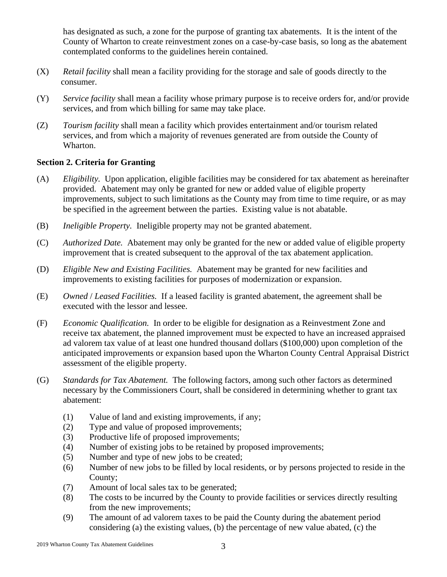has designated as such, a zone for the purpose of granting tax abatements. It is the intent of the County of Wharton to create reinvestment zones on a case-by-case basis, so long as the abatement contemplated conforms to the guidelines herein contained.

- (X) *Retail facility* shall mean a facility providing for the storage and sale of goods directly to the consumer.
- (Y) *Service facility* shall mean a facility whose primary purpose is to receive orders for, and/or provide services, and from which billing for same may take place.
- (Z) *Tourism facility* shall mean a facility which provides entertainment and/or tourism related services, and from which a majority of revenues generated are from outside the County of Wharton.

# **Section 2. Criteria for Granting**

- (A) *Eligibility.* Upon application, eligible facilities may be considered for tax abatement as hereinafter provided. Abatement may only be granted for new or added value of eligible property improvements, subject to such limitations as the County may from time to time require, or as may be specified in the agreement between the parties.Existing value is not abatable.
- (B) *Ineligible Property.* Ineligible property may not be granted abatement.
- (C) *Authorized Date.* Abatement may only be granted for the new or added value of eligible property improvement that is created subsequent to the approval of the tax abatement application.
- (D) *Eligible New and Existing Facilities.* Abatement may be granted for new facilities and improvements to existing facilities for purposes of modernization or expansion.
- (E) *Owned* / *Leased Facilities.* If a leased facility is granted abatement, the agreement shall be executed with the lessor and lessee.
- (F) *Economic Qualification.* In order to be eligible for designation as a Reinvestment Zone and receive tax abatement, the planned improvement must be expected to have an increased appraised ad valorem tax value of at least one hundred thousand dollars (\$100,000) upon completion of the anticipated improvements or expansion based upon the Wharton County Central Appraisal District assessment of the eligible property.
- (G) *Standards for Tax Abatement.* The following factors, among such other factors as determined necessary by the Commissioners Court, shall be considered in determining whether to grant tax abatement:
	- (1) Value of land and existing improvements, if any;
	- (2) Type and value of proposed improvements;
	- (3) Productive life of proposed improvements;
	- (4) Number of existing jobs to be retained by proposed improvements;
	- (5) Number and type of new jobs to be created;
	- (6) Number of new jobs to be filled by local residents, or by persons projected to reside in the County;
	- (7) Amount of local sales tax to be generated;
	- (8) The costs to be incurred by the County to provide facilities or services directly resulting from the new improvements;
	- (9) The amount of ad valorem taxes to be paid the County during the abatement period considering (a) the existing values, (b) the percentage of new value abated, (c) the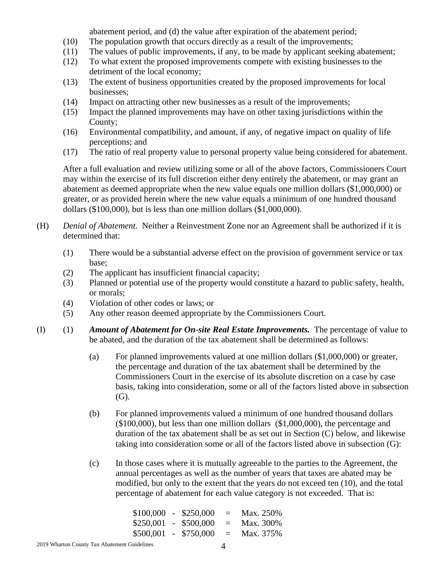abatement period, and (d) the value after expiration of the abatement period;

- (10) The population growth that occurs directly as a result of the improvements;
- (11) The values of public improvements, if any, to be made by applicant seeking abatement;
- (12) To what extent the proposed improvements compete with existing businesses to the detriment of the local economy;
- (13) The extent of business opportunities created by the proposed improvements for local businesses;
- (14) Impact on attracting other new businesses as a result of the improvements;
- (15) Impact the planned improvements may have on other taxing jurisdictions within the County;
- (16) Environmental compatibility, and amount, if any, of negative impact on quality of life perceptions; and
- (17) The ratio of real property value to personal property value being considered for abatement.

After a full evaluation and review utilizing some or all of the above factors, Commissioners Court may within the exercise of its full discretion either deny entirely the abatement, or may grant an abatement as deemed appropriate when the new value equals one million dollars (\$1,000,000) or greater, or as provided herein where the new value equals a minimum of one hundred thousand dollars (\$100,000), but is less than one million dollars (\$1,000,000).

- (H) *Denial of Abatement.* Neither a Reinvestment Zone nor an Agreement shall be authorized if it is determined that:
	- (1) There would be a substantial adverse effect on the provision of government service or tax base;
	- (2) The applicant has insufficient financial capacity;
	- (3) Planned or potential use of the property would constitute a hazard to public safety, health, or morals;
	- (4) Violation of other codes or laws; or
	- (5) Any other reason deemed appropriate by the Commissioners Court.
- (I) (1) *Amount of Abatement for On-site Real Estate Improvements.* The percentage of value to be abated, and the duration of the tax abatement shall be determined as follows:
	- (a) For planned improvements valued at one million dollars (\$1,000,000) or greater, the percentage and duration of the tax abatement shall be determined by the Commissioners Court in the exercise of its absolute discretion on a case by case basis, taking into consideration, some or all of the factors listed above in subsection (G).
	- (b) For planned improvements valued a minimum of one hundred thousand dollars (\$100,000), but less than one million dollars (\$1,000,000), the percentage and duration of the tax abatement shall be as set out in Section (C) below, and likewise taking into consideration some or all of the factors listed above in subsection (G):
	- (c) In those cases where it is mutually agreeable to the parties to the Agreement, the annual percentages as well as the number of years that taxes are abated may be modified, but only to the extent that the years do not exceed ten (10), and the total percentage of abatement for each value category is not exceeded. That is:

| \$100,000 |                          | \$250,000 | $=$ | Max. 250\%   |
|-----------|--------------------------|-----------|-----|--------------|
| \$250,001 | $\overline{\phantom{a}}$ | \$500,000 | $=$ | $Max. 300\%$ |
| \$500,001 | $\overline{\phantom{a}}$ | \$750,000 | $=$ | Max. 375%    |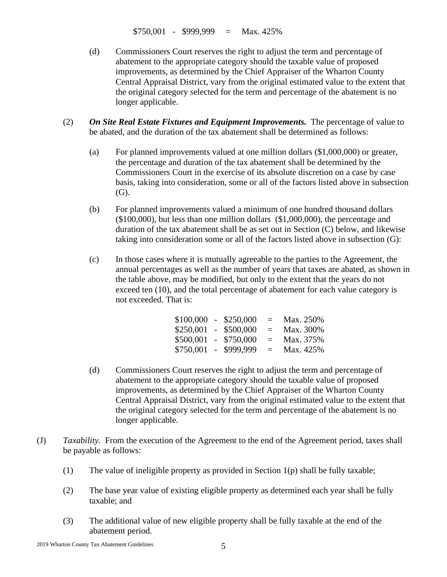$$750,001$  -  $$999,999$  = Max. 425%

- (d) Commissioners Court reserves the right to adjust the term and percentage of abatement to the appropriate category should the taxable value of proposed improvements, as determined by the Chief Appraiser of the Wharton County Central Appraisal District, vary from the original estimated value to the extent that the original category selected for the term and percentage of the abatement is no longer applicable.
- (2) *On Site Real Estate Fixtures and Equipment Improvements.* The percentage of value to be abated, and the duration of the tax abatement shall be determined as follows:
	- (a) For planned improvements valued at one million dollars (\$1,000,000) or greater, the percentage and duration of the tax abatement shall be determined by the Commissioners Court in the exercise of its absolute discretion on a case by case basis, taking into consideration, some or all of the factors listed above in subsection (G).
	- (b) For planned improvements valued a minimum of one hundred thousand dollars (\$100,000), but less than one million dollars (\$1,000,000), the percentage and duration of the tax abatement shall be as set out in Section (C) below, and likewise taking into consideration some or all of the factors listed above in subsection (G):
	- (c) In those cases where it is mutually agreeable to the parties to the Agreement, the annual percentages as well as the number of years that taxes are abated, as shown in the table above, may be modified, but only to the extent that the years do not exceed ten (10), and the total percentage of abatement for each value category is not exceeded. That is:

| $$100,000 - $250,000$  |               | $=$ | Max. 250% |
|------------------------|---------------|-----|-----------|
| $$250,001$ - \$500,000 |               | $=$ | Max. 300% |
| \$500,001              | $-$ \$750,000 | $=$ | Max. 375% |
| $$750,001$ -           | \$999,999     | $=$ | Max. 425% |

- (d) Commissioners Court reserves the right to adjust the term and percentage of abatement to the appropriate category should the taxable value of proposed improvements, as determined by the Chief Appraiser of the Wharton County Central Appraisal District, vary from the original estimated value to the extent that the original category selected for the term and percentage of the abatement is no longer applicable.
- (J) *Taxability.* From the execution of the Agreement to the end of the Agreement period, taxes shall be payable as follows:
	- (1) The value of ineligible property as provided in Section  $1(p)$  shall be fully taxable;
	- (2) The base year value of existing eligible property as determined each year shall be fully taxable; and
	- (3) The additional value of new eligible property shall be fully taxable at the end of the abatement period.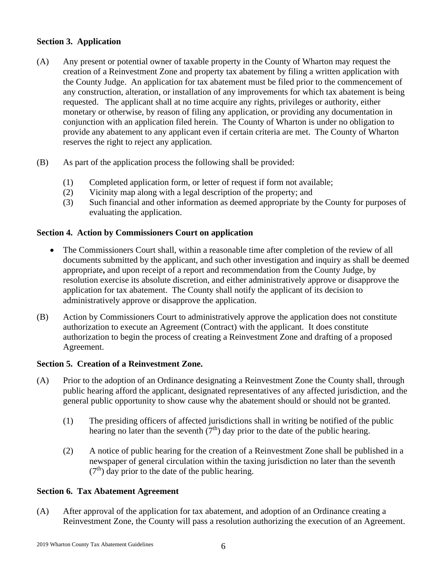# **Section 3. Application**

- (A) Any present or potential owner of taxable property in the County of Wharton may request the creation of a Reinvestment Zone and property tax abatement by filing a written application with the County Judge. An application for tax abatement must be filed prior to the commencement of any construction, alteration, or installation of any improvements for which tax abatement is being requested. The applicant shall at no time acquire any rights, privileges or authority, either monetary or otherwise, by reason of filing any application, or providing any documentation in conjunction with an application filed herein. The County of Wharton is under no obligation to provide any abatement to any applicant even if certain criteria are met. The County of Wharton reserves the right to reject any application.
- (B) As part of the application process the following shall be provided:
	- (1) Completed application form, or letter of request if form not available;
	- (2) Vicinity map along with a legal description of the property; and
	- (3) Such financial and other information as deemed appropriate by the County for purposes of evaluating the application.

# **Section 4. Action by Commissioners Court on application**

- The Commissioners Court shall, within a reasonable time after completion of the review of all documents submitted by the applicant, and such other investigation and inquiry as shall be deemed appropriate**,** and upon receipt of a report and recommendation from the County Judge, by resolution exercise its absolute discretion, and either administratively approve or disapprove the application for tax abatement. The County shall notify the applicant of its decision to administratively approve or disapprove the application.
- (B) Action by Commissioners Court to administratively approve the application does not constitute authorization to execute an Agreement (Contract) with the applicant. It does constitute authorization to begin the process of creating a Reinvestment Zone and drafting of a proposed Agreement.

# **Section 5. Creation of a Reinvestment Zone.**

- (A) Prior to the adoption of an Ordinance designating a Reinvestment Zone the County shall, through public hearing afford the applicant, designated representatives of any affected jurisdiction, and the general public opportunity to show cause why the abatement should or should not be granted.
	- (1) The presiding officers of affected jurisdictions shall in writing be notified of the public hearing no later than the seventh  $(7<sup>th</sup>)$  day prior to the date of the public hearing.
	- (2) A notice of public hearing for the creation of a Reinvestment Zone shall be published in a newspaper of general circulation within the taxing jurisdiction no later than the seventh  $(7<sup>th</sup>)$  day prior to the date of the public hearing.

# **Section 6. Tax Abatement Agreement**

(A) After approval of the application for tax abatement, and adoption of an Ordinance creating a Reinvestment Zone, the County will pass a resolution authorizing the execution of an Agreement.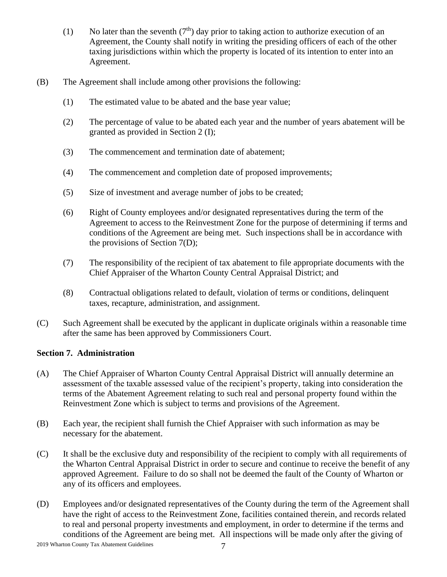- (1) No later than the seventh  $(7<sup>th</sup>)$  day prior to taking action to authorize execution of an Agreement, the County shall notify in writing the presiding officers of each of the other taxing jurisdictions within which the property is located of its intention to enter into an Agreement.
- (B) The Agreement shall include among other provisions the following:
	- (1) The estimated value to be abated and the base year value;
	- (2) The percentage of value to be abated each year and the number of years abatement will be granted as provided in Section 2 (I);
	- (3) The commencement and termination date of abatement;
	- (4) The commencement and completion date of proposed improvements;
	- (5) Size of investment and average number of jobs to be created;
	- (6) Right of County employees and/or designated representatives during the term of the Agreement to access to the Reinvestment Zone for the purpose of determining if terms and conditions of the Agreement are being met. Such inspections shall be in accordance with the provisions of Section 7(D);
	- (7) The responsibility of the recipient of tax abatement to file appropriate documents with the Chief Appraiser of the Wharton County Central Appraisal District; and
	- (8) Contractual obligations related to default, violation of terms or conditions, delinquent taxes, recapture, administration, and assignment.
- (C) Such Agreement shall be executed by the applicant in duplicate originals within a reasonable time after the same has been approved by Commissioners Court.

#### **Section 7. Administration**

- (A) The Chief Appraiser of Wharton County Central Appraisal District will annually determine an assessment of the taxable assessed value of the recipient's property, taking into consideration the terms of the Abatement Agreement relating to such real and personal property found within the Reinvestment Zone which is subject to terms and provisions of the Agreement.
- (B) Each year, the recipient shall furnish the Chief Appraiser with such information as may be necessary for the abatement.
- (C) It shall be the exclusive duty and responsibility of the recipient to comply with all requirements of the Wharton Central Appraisal District in order to secure and continue to receive the benefit of any approved Agreement. Failure to do so shall not be deemed the fault of the County of Wharton or any of its officers and employees.
- (D) Employees and/or designated representatives of the County during the term of the Agreement shall have the right of access to the Reinvestment Zone, facilities contained therein, and records related to real and personal property investments and employment, in order to determine if the terms and conditions of the Agreement are being met. All inspections will be made only after the giving of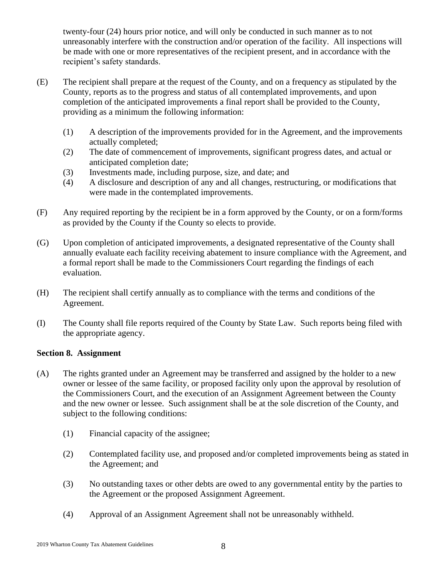twenty-four (24) hours prior notice, and will only be conducted in such manner as to not unreasonably interfere with the construction and/or operation of the facility. All inspections will be made with one or more representatives of the recipient present, and in accordance with the recipient's safety standards.

- (E) The recipient shall prepare at the request of the County, and on a frequency as stipulated by the County, reports as to the progress and status of all contemplated improvements, and upon completion of the anticipated improvements a final report shall be provided to the County, providing as a minimum the following information:
	- (1) A description of the improvements provided for in the Agreement, and the improvements actually completed;
	- (2) The date of commencement of improvements, significant progress dates, and actual or anticipated completion date;
	- (3) Investments made, including purpose, size, and date; and
	- (4) A disclosure and description of any and all changes, restructuring, or modifications that were made in the contemplated improvements.
- (F) Any required reporting by the recipient be in a form approved by the County, or on a form/forms as provided by the County if the County so elects to provide.
- (G) Upon completion of anticipated improvements, a designated representative of the County shall annually evaluate each facility receiving abatement to insure compliance with the Agreement, and a formal report shall be made to the Commissioners Court regarding the findings of each evaluation.
- (H) The recipient shall certify annually as to compliance with the terms and conditions of the Agreement.
- (I) The County shall file reports required of the County by State Law. Such reports being filed with the appropriate agency.

# **Section 8. Assignment**

- (A) The rights granted under an Agreement may be transferred and assigned by the holder to a new owner or lessee of the same facility, or proposed facility only upon the approval by resolution of the Commissioners Court, and the execution of an Assignment Agreement between the County and the new owner or lessee. Such assignment shall be at the sole discretion of the County, and subject to the following conditions:
	- (1) Financial capacity of the assignee;
	- (2) Contemplated facility use, and proposed and/or completed improvements being as stated in the Agreement; and
	- (3) No outstanding taxes or other debts are owed to any governmental entity by the parties to the Agreement or the proposed Assignment Agreement.
	- (4) Approval of an Assignment Agreement shall not be unreasonably withheld.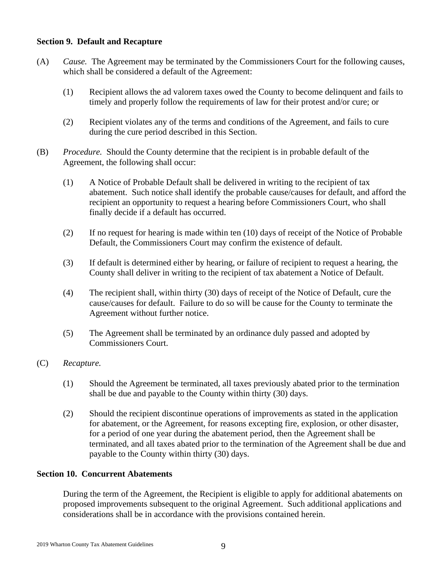#### **Section 9. Default and Recapture**

- (A) *Cause.* The Agreement may be terminated by the Commissioners Court for the following causes, which shall be considered a default of the Agreement:
	- (1) Recipient allows the ad valorem taxes owed the County to become delinquent and fails to timely and properly follow the requirements of law for their protest and/or cure; or
	- (2) Recipient violates any of the terms and conditions of the Agreement, and fails to cure during the cure period described in this Section.
- (B) *Procedure.* Should the County determine that the recipient is in probable default of the Agreement, the following shall occur:
	- (1) A Notice of Probable Default shall be delivered in writing to the recipient of tax abatement. Such notice shall identify the probable cause/causes for default, and afford the recipient an opportunity to request a hearing before Commissioners Court, who shall finally decide if a default has occurred.
	- (2) If no request for hearing is made within ten (10) days of receipt of the Notice of Probable Default, the Commissioners Court may confirm the existence of default.
	- (3) If default is determined either by hearing, or failure of recipient to request a hearing, the County shall deliver in writing to the recipient of tax abatement a Notice of Default.
	- (4) The recipient shall, within thirty (30) days of receipt of the Notice of Default, cure the cause/causes for default. Failure to do so will be cause for the County to terminate the Agreement without further notice.
	- (5) The Agreement shall be terminated by an ordinance duly passed and adopted by Commissioners Court.
- (C) *Recapture.* 
	- (1) Should the Agreement be terminated, all taxes previously abated prior to the termination shall be due and payable to the County within thirty (30) days.
	- (2) Should the recipient discontinue operations of improvements as stated in the application for abatement, or the Agreement, for reasons excepting fire, explosion, or other disaster, for a period of one year during the abatement period, then the Agreement shall be terminated, and all taxes abated prior to the termination of the Agreement shall be due and payable to the County within thirty (30) days.

### **Section 10. Concurrent Abatements**

During the term of the Agreement, the Recipient is eligible to apply for additional abatements on proposed improvements subsequent to the original Agreement. Such additional applications and considerations shall be in accordance with the provisions contained herein.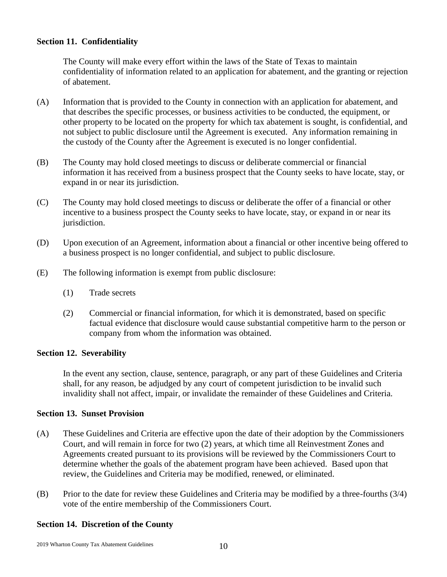#### **Section 11. Confidentiality**

The County will make every effort within the laws of the State of Texas to maintain confidentiality of information related to an application for abatement, and the granting or rejection of abatement.

- (A) Information that is provided to the County in connection with an application for abatement, and that describes the specific processes, or business activities to be conducted, the equipment, or other property to be located on the property for which tax abatement is sought, is confidential, and not subject to public disclosure until the Agreement is executed. Any information remaining in the custody of the County after the Agreement is executed is no longer confidential.
- (B) The County may hold closed meetings to discuss or deliberate commercial or financial information it has received from a business prospect that the County seeks to have locate, stay, or expand in or near its jurisdiction.
- (C) The County may hold closed meetings to discuss or deliberate the offer of a financial or other incentive to a business prospect the County seeks to have locate, stay, or expand in or near its jurisdiction.
- (D) Upon execution of an Agreement, information about a financial or other incentive being offered to a business prospect is no longer confidential, and subject to public disclosure.
- (E) The following information is exempt from public disclosure:
	- (1) Trade secrets
	- (2) Commercial or financial information, for which it is demonstrated, based on specific factual evidence that disclosure would cause substantial competitive harm to the person or company from whom the information was obtained.

#### **Section 12. Severability**

In the event any section, clause, sentence, paragraph, or any part of these Guidelines and Criteria shall, for any reason, be adjudged by any court of competent jurisdiction to be invalid such invalidity shall not affect, impair, or invalidate the remainder of these Guidelines and Criteria.

#### **Section 13. Sunset Provision**

- (A) These Guidelines and Criteria are effective upon the date of their adoption by the Commissioners Court, and will remain in force for two (2) years, at which time all Reinvestment Zones and Agreements created pursuant to its provisions will be reviewed by the Commissioners Court to determine whether the goals of the abatement program have been achieved. Based upon that review, the Guidelines and Criteria may be modified, renewed, or eliminated.
- (B) Prior to the date for review these Guidelines and Criteria may be modified by a three-fourths (3/4) vote of the entire membership of the Commissioners Court.

# **Section 14. Discretion of the County**